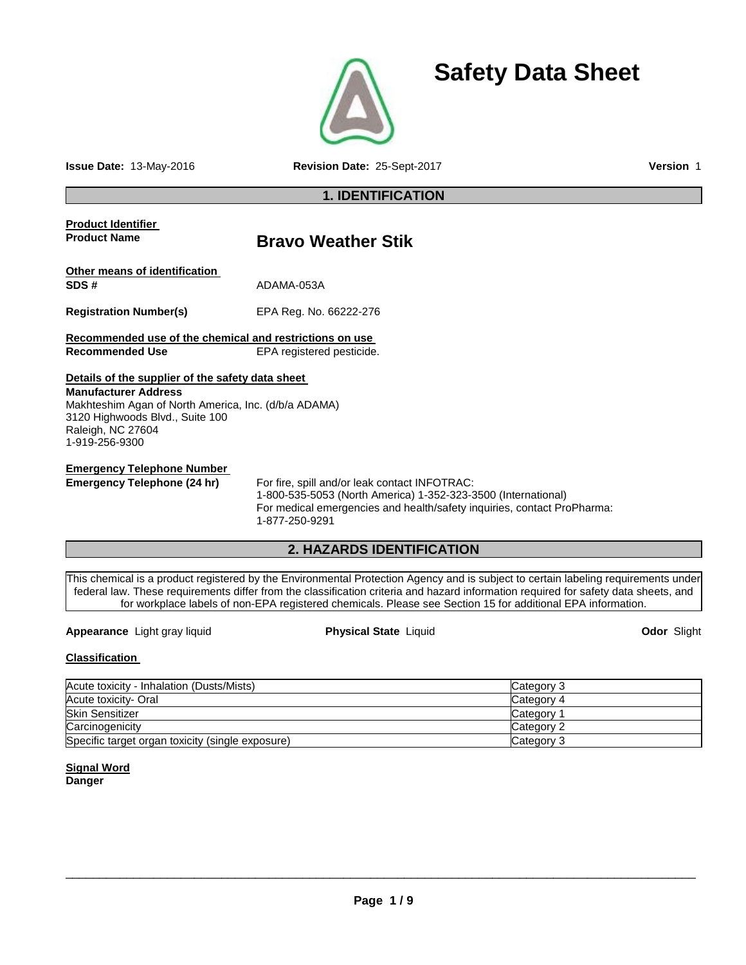

**Issue Date:** 13-May-2016 **Revision Date:** 25-Sept-2017 **Version** 1

**Safety Data Sheet**

# **1. IDENTIFICATION**

# **Product Identifier Product Name Bravo Weather Stik Other means of identification SDS #** ADAMA-053A **Registration Number(s)** EPA Reg. No. 66222-276 **Recommended use of the chemical and restrictions on use EPA registered pesticide. Details of the supplier of the safety data sheet Manufacturer Address** Makhteshim Agan of North America, Inc. (d/b/a ADAMA) 3120 Highwoods Blvd., Suite 100 Raleigh, NC 27604 1-919-256-9300 **Emergency Telephone Number**<br> **Emergency Telephone (24 hr)** For fire, spill and/or leak contact INFOTRAC: 1-800-535-5053 (North America) 1-352-323-3500 (International) For medical emergencies and health/safety inquiries, contact ProPharma: 1-877-250-9291

# **2. HAZARDS IDENTIFICATION**

This chemical is a product registered by the Environmental Protection Agency and is subject to certain labeling requirements under federal law. These requirements differ from the classification criteria and hazard information required for safety data sheets, and for workplace labels of non-EPA registered chemicals. Please see Section 15 for additional EPA information.

**Appearance** Light gray liquid **Physical State** Liquid **Odor** Slight

# **Classification**

| Acute toxicity - Inhalation (Dusts/Mists)        | Category 3      |
|--------------------------------------------------|-----------------|
| Acute toxicity- Oral                             | Category 4      |
| <b>Skin Sensitizer</b>                           | <b>Category</b> |
| Carcinogenicity                                  | Category 2      |
| Specific target organ toxicity (single exposure) | Category 3      |

# **Signal Word Danger**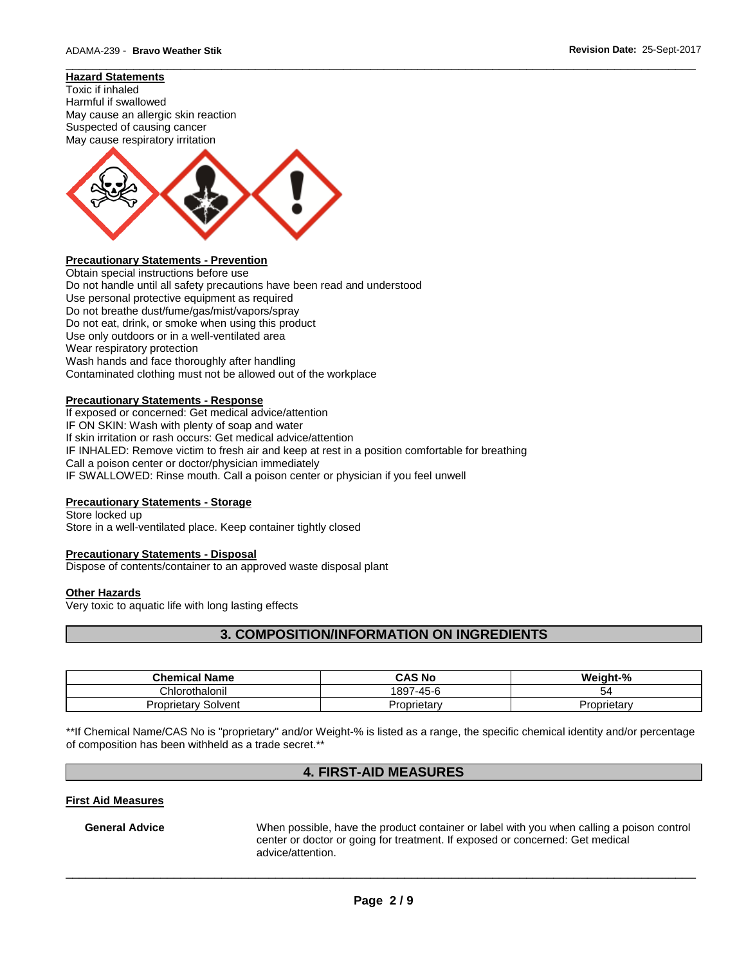#### **Hazard Statements**

Toxic if inhaled Harmful if swallowed May cause an allergic skin reaction Suspected of causing cancer May cause respiratory irritation



# **Precautionary Statements - Prevention**

Obtain special instructions before use Do not handle until all safety precautions have been read and understood Use personal protective equipment as required Do not breathe dust/fume/gas/mist/vapors/spray Do not eat, drink, or smoke when using this product Use only outdoors or in a well-ventilated area Wear respiratory protection Wash hands and face thoroughly after handling Contaminated clothing must not be allowed out of the workplace

#### **Precautionary Statements - Response**

If exposed or concerned: Get medical advice/attention IF ON SKIN: Wash with plenty of soap and water If skin irritation or rash occurs: Get medical advice/attention IF INHALED: Remove victim to fresh air and keep at rest in a position comfortable for breathing Call a poison center or doctor/physician immediately IF SWALLOWED: Rinse mouth. Call a poison center or physician if you feel unwell

## **Precautionary Statements - Storage**

Store locked up

Store in a well-ventilated place. Keep container tightly closed

# **Precautionary Statements - Disposal**

Dispose of contents/container to an approved waste disposal plant

#### **Other Hazards**

Very toxic to aquatic life with long lasting effects

# **3. COMPOSITION/INFORMATION ON INGREDIENTS**

\_\_\_\_\_\_\_\_\_\_\_\_\_\_\_\_\_\_\_\_\_\_\_\_\_\_\_\_\_\_\_\_\_\_\_\_\_\_\_\_\_\_\_\_\_\_\_\_\_\_\_\_\_\_\_\_\_\_\_\_\_\_\_\_\_\_\_\_\_\_\_\_\_\_\_\_\_\_\_\_\_\_\_\_\_\_\_\_\_\_\_\_\_

| <b>Chemical Name</b>          | CAS No         | Weight-%    |
|-------------------------------|----------------|-------------|
| Chlorothalonil                | 7-45-6<br>1897 | 54          |
| Solvent<br><b>Proprietary</b> | Proprietary    | Proprietarv |

\*\*If Chemical Name/CAS No is "proprietary" and/or Weight-% is listed as a range, the specific chemical identity and/or percentage of composition has been withheld as a trade secret.\*\*

# **4. FIRST-AID MEASURES**

#### **First Aid Measures**

**General Advice** When possible, have the product container or label with you when calling a poison control center or doctor or going for treatment. If exposed or concerned: Get medical advice/attention.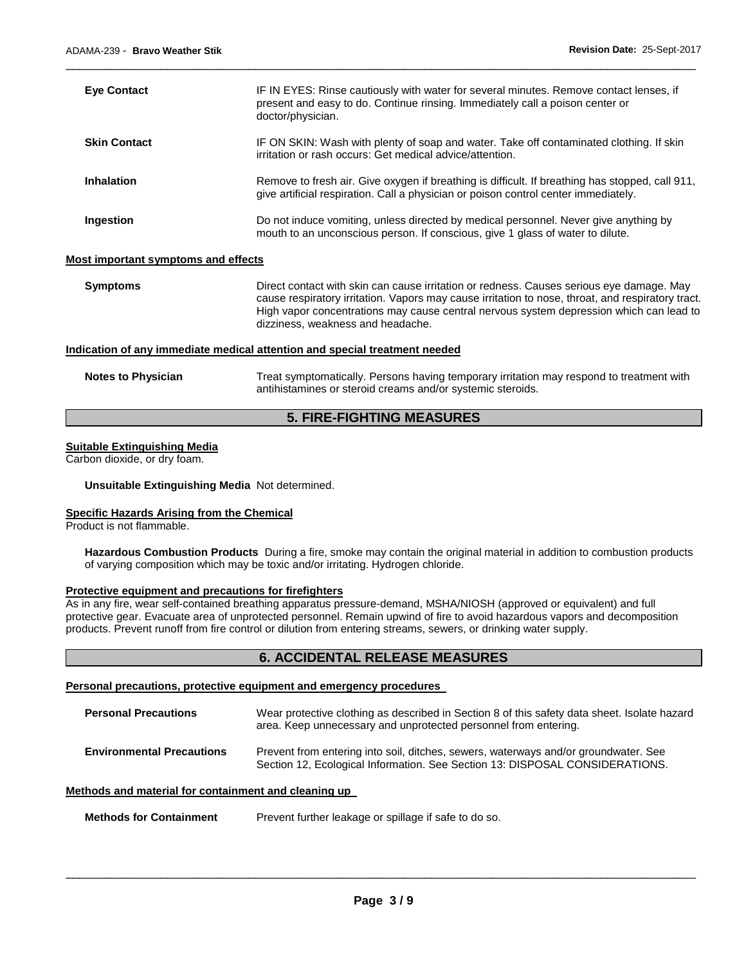| <b>Eye Contact</b>                  | IF IN EYES: Rinse cautiously with water for several minutes. Remove contact lenses, if<br>present and easy to do. Continue rinsing. Immediately call a poison center or<br>doctor/physician.                                                                                                                                  |
|-------------------------------------|-------------------------------------------------------------------------------------------------------------------------------------------------------------------------------------------------------------------------------------------------------------------------------------------------------------------------------|
| <b>Skin Contact</b>                 | IF ON SKIN: Wash with plenty of soap and water. Take off contaminated clothing. If skin<br>irritation or rash occurs: Get medical advice/attention.                                                                                                                                                                           |
| <b>Inhalation</b>                   | Remove to fresh air. Give oxygen if breathing is difficult. If breathing has stopped, call 911,<br>give artificial respiration. Call a physician or poison control center immediately.                                                                                                                                        |
| Ingestion                           | Do not induce vomiting, unless directed by medical personnel. Never give anything by<br>mouth to an unconscious person. If conscious, give 1 glass of water to dilute.                                                                                                                                                        |
| Most important symptoms and effects |                                                                                                                                                                                                                                                                                                                               |
| <b>Symptoms</b>                     | Direct contact with skin can cause irritation or redness. Causes serious eye damage. May<br>cause respiratory irritation. Vapors may cause irritation to nose, throat, and respiratory tract.<br>High vapor concentrations may cause central nervous system depression which can lead to<br>dizziness, weakness and headache. |

\_\_\_\_\_\_\_\_\_\_\_\_\_\_\_\_\_\_\_\_\_\_\_\_\_\_\_\_\_\_\_\_\_\_\_\_\_\_\_\_\_\_\_\_\_\_\_\_\_\_\_\_\_\_\_\_\_\_\_\_\_\_\_\_\_\_\_\_\_\_\_\_\_\_\_\_\_\_\_\_\_\_\_\_\_\_\_\_\_\_\_\_\_

#### **Indication of any immediate medical attention and special treatment needed**

| <b>Notes to Physician</b> | Treat symptomatically. Persons having temporary irritation may respond to treatment with |
|---------------------------|------------------------------------------------------------------------------------------|
|                           | antihistamines or steroid creams and/or systemic steroids.                               |

# **5. FIRE-FIGHTING MEASURES**

### **Suitable Extinguishing Media**

Carbon dioxide, or dry foam.

#### **Unsuitable Extinguishing Media** Not determined.

#### **Specific Hazards Arising from the Chemical**

Product is not flammable.

**Hazardous Combustion Products** During a fire, smoke may contain the original material in addition to combustion products of varying composition which may be toxic and/or irritating. Hydrogen chloride.

#### **Protective equipment and precautions for firefighters**

As in any fire, wear self-contained breathing apparatus pressure-demand, MSHA/NIOSH (approved or equivalent) and full protective gear. Evacuate area of unprotected personnel. Remain upwind of fire to avoid hazardous vapors and decomposition products. Prevent runoff from fire control or dilution from entering streams, sewers, or drinking water supply.

# **6. ACCIDENTAL RELEASE MEASURES**

#### **Personal precautions, protective equipment and emergency procedures**

| <b>Personal Precautions</b>      | Wear protective clothing as described in Section 8 of this safety data sheet. Isolate hazard<br>area. Keep unnecessary and unprotected personnel from entering.     |
|----------------------------------|---------------------------------------------------------------------------------------------------------------------------------------------------------------------|
| <b>Environmental Precautions</b> | Prevent from entering into soil, ditches, sewers, waterways and/or groundwater. See<br>Section 12, Ecological Information. See Section 13: DISPOSAL CONSIDERATIONS. |

# **Methods and material for containment and cleaning up**

**Methods for Containment** Prevent further leakage or spillage if safe to do so.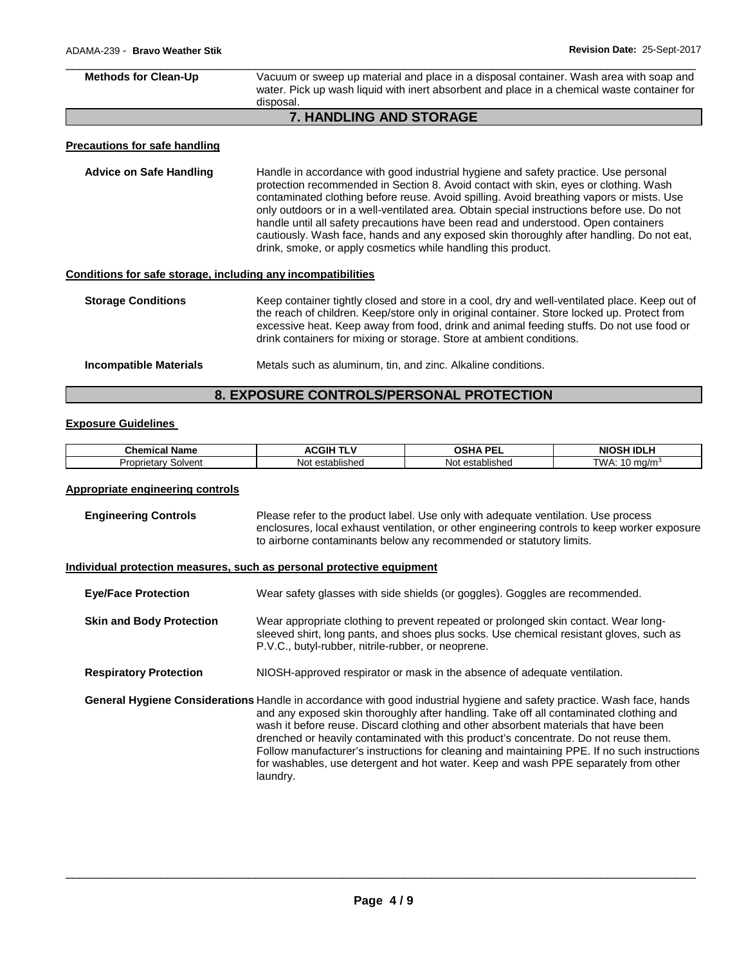| <b>Methods for Clean-Up</b>                                  | Vacuum or sweep up material and place in a disposal container. Wash area with soap and<br>water. Pick up wash liquid with inert absorbent and place in a chemical waste container for<br>disposal.                                                                                                                                                                                                                                                                                                                                                                                                                       |
|--------------------------------------------------------------|--------------------------------------------------------------------------------------------------------------------------------------------------------------------------------------------------------------------------------------------------------------------------------------------------------------------------------------------------------------------------------------------------------------------------------------------------------------------------------------------------------------------------------------------------------------------------------------------------------------------------|
|                                                              | <b>7. HANDLING AND STORAGE</b>                                                                                                                                                                                                                                                                                                                                                                                                                                                                                                                                                                                           |
| Precautions for safe handling                                |                                                                                                                                                                                                                                                                                                                                                                                                                                                                                                                                                                                                                          |
| <b>Advice on Safe Handling</b>                               | Handle in accordance with good industrial hygiene and safety practice. Use personal<br>protection recommended in Section 8. Avoid contact with skin, eyes or clothing. Wash<br>contaminated clothing before reuse. Avoid spilling. Avoid breathing vapors or mists. Use<br>only outdoors or in a well-ventilated area. Obtain special instructions before use. Do not<br>handle until all safety precautions have been read and understood. Open containers<br>cautiously. Wash face, hands and any exposed skin thoroughly after handling. Do not eat,<br>drink, smoke, or apply cosmetics while handling this product. |
| Conditions for safe storage, including any incompatibilities |                                                                                                                                                                                                                                                                                                                                                                                                                                                                                                                                                                                                                          |
| <b>Storage Conditions</b>                                    | Keep container tightly closed and store in a cool, dry and well-ventilated place. Keep out of<br>the reach of children. Keep/store only in original container. Store locked up. Protect from<br>excessive heat. Keep away from food, drink and animal feeding stuffs. Do not use food or<br>drink containers for mixing or storage. Store at ambient conditions.                                                                                                                                                                                                                                                         |
| <b>Incompatible Materials</b>                                | Metals such as aluminum, tin, and zinc. Alkaline conditions.                                                                                                                                                                                                                                                                                                                                                                                                                                                                                                                                                             |

# **8. EXPOSURE CONTROLS/PERSONAL PROTECTION**

# **Exposure Guidelines**

| Chemic                                   | ACG                           | --                            | NIC                                |
|------------------------------------------|-------------------------------|-------------------------------|------------------------------------|
| - -                                      |                               | ופר                           | .                                  |
| Name                                     |                               | ''                            | ™IDL.                              |
| лн                                       |                               | . .                           | . .                                |
| Solvent<br><b>Jropr</b><br>…ar '<br>. uu | $\cdots$<br>established<br>Nc | $\cdots$<br>established<br>No | $T$ $M$ $\Lambda$ .<br>ma/m<br>. . |

# **Appropriate engineering controls**

| <b>Engineering Controls</b> | Please refer to the product label. Use only with adequate ventilation. Use process           |
|-----------------------------|----------------------------------------------------------------------------------------------|
|                             | enclosures, local exhaust ventilation, or other engineering controls to keep worker exposure |
|                             | to airborne contaminants below any recommended or statutory limits.                          |

# **Individual protection measures, such as personal protective equipment**

| <b>Eye/Face Protection</b>      | Wear safety glasses with side shields (or goggles). Goggles are recommended.                                                                                                                                                                                                                                                                                                                                                                                                                                                                                                                       |
|---------------------------------|----------------------------------------------------------------------------------------------------------------------------------------------------------------------------------------------------------------------------------------------------------------------------------------------------------------------------------------------------------------------------------------------------------------------------------------------------------------------------------------------------------------------------------------------------------------------------------------------------|
| <b>Skin and Body Protection</b> | Wear appropriate clothing to prevent repeated or prolonged skin contact. Wear long-<br>sleeved shirt, long pants, and shoes plus socks. Use chemical resistant gloves, such as<br>P.V.C., butyl-rubber, nitrile-rubber, or neoprene.                                                                                                                                                                                                                                                                                                                                                               |
| <b>Respiratory Protection</b>   | NIOSH-approved respirator or mask in the absence of adequate ventilation.                                                                                                                                                                                                                                                                                                                                                                                                                                                                                                                          |
|                                 | General Hygiene Considerations Handle in accordance with good industrial hygiene and safety practice. Wash face, hands<br>and any exposed skin thoroughly after handling. Take off all contaminated clothing and<br>wash it before reuse. Discard clothing and other absorbent materials that have been<br>drenched or heavily contaminated with this product's concentrate. Do not reuse them.<br>Follow manufacturer's instructions for cleaning and maintaining PPE. If no such instructions<br>for washables, use detergent and hot water. Keep and wash PPE separately from other<br>laundry. |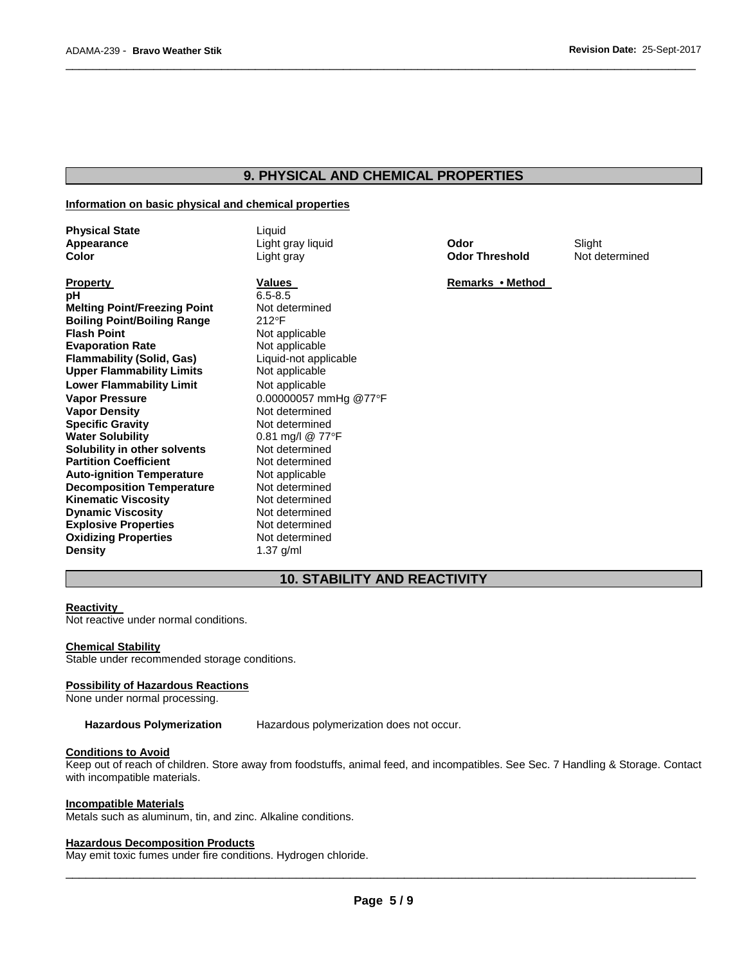# **9. PHYSICAL AND CHEMICAL PROPERTIES**

\_\_\_\_\_\_\_\_\_\_\_\_\_\_\_\_\_\_\_\_\_\_\_\_\_\_\_\_\_\_\_\_\_\_\_\_\_\_\_\_\_\_\_\_\_\_\_\_\_\_\_\_\_\_\_\_\_\_\_\_\_\_\_\_\_\_\_\_\_\_\_\_\_\_\_\_\_\_\_\_\_\_\_\_\_\_\_\_\_\_\_\_\_

#### **Information on basic physical and chemical properties**

| <b>Physical State</b><br>Appearance<br>Color | Liquid<br>Light gray liquid<br>Light gray | Odor<br><b>Odor Threshold</b> | Slight<br>Not determined |
|----------------------------------------------|-------------------------------------------|-------------------------------|--------------------------|
| <b>Property</b>                              | Values                                    | Remarks • Method              |                          |
| рH                                           | $6.5 - 8.5$                               |                               |                          |
| <b>Melting Point/Freezing Point</b>          | Not determined                            |                               |                          |
| <b>Boiling Point/Boiling Range</b>           | $212^{\circ}F$                            |                               |                          |
| <b>Flash Point</b>                           | Not applicable                            |                               |                          |
| <b>Evaporation Rate</b>                      | Not applicable                            |                               |                          |
| <b>Flammability (Solid, Gas)</b>             | Liquid-not applicable                     |                               |                          |
| <b>Upper Flammability Limits</b>             | Not applicable                            |                               |                          |
| <b>Lower Flammability Limit</b>              | Not applicable                            |                               |                          |
| <b>Vapor Pressure</b>                        | 0.00000057 mmHg @77°F                     |                               |                          |
| <b>Vapor Density</b>                         | Not determined                            |                               |                          |
| <b>Specific Gravity</b>                      | Not determined                            |                               |                          |
| <b>Water Solubility</b>                      | 0.81 mg/l @ $77^{\circ}$ F                |                               |                          |
| Solubility in other solvents                 | Not determined                            |                               |                          |
| <b>Partition Coefficient</b>                 | Not determined                            |                               |                          |
| <b>Auto-ignition Temperature</b>             | Not applicable                            |                               |                          |
| <b>Decomposition Temperature</b>             | Not determined                            |                               |                          |
| <b>Kinematic Viscosity</b>                   | Not determined                            |                               |                          |
| <b>Dynamic Viscosity</b>                     | Not determined                            |                               |                          |
| <b>Explosive Properties</b>                  | Not determined                            |                               |                          |
| <b>Oxidizing Properties</b>                  | Not determined                            |                               |                          |
| <b>Density</b>                               | $1.37$ g/ml                               |                               |                          |

# **10. STABILITY AND REACTIVITY**

#### **Reactivity**

Not reactive under normal conditions.

#### **Chemical Stability**

Stable under recommended storage conditions.

#### **Possibility of Hazardous Reactions**

None under normal processing.

**Hazardous Polymerization** Hazardous polymerization does not occur.

#### **Conditions to Avoid**

Keep out of reach of children. Store away from foodstuffs, animal feed, and incompatibles. See Sec. 7 Handling & Storage. Contact with incompatible materials.

#### **Incompatible Materials**

Metals such as aluminum, tin, and zinc. Alkaline conditions.

# **Hazardous Decomposition Products**

May emit toxic fumes under fire conditions. Hydrogen chloride.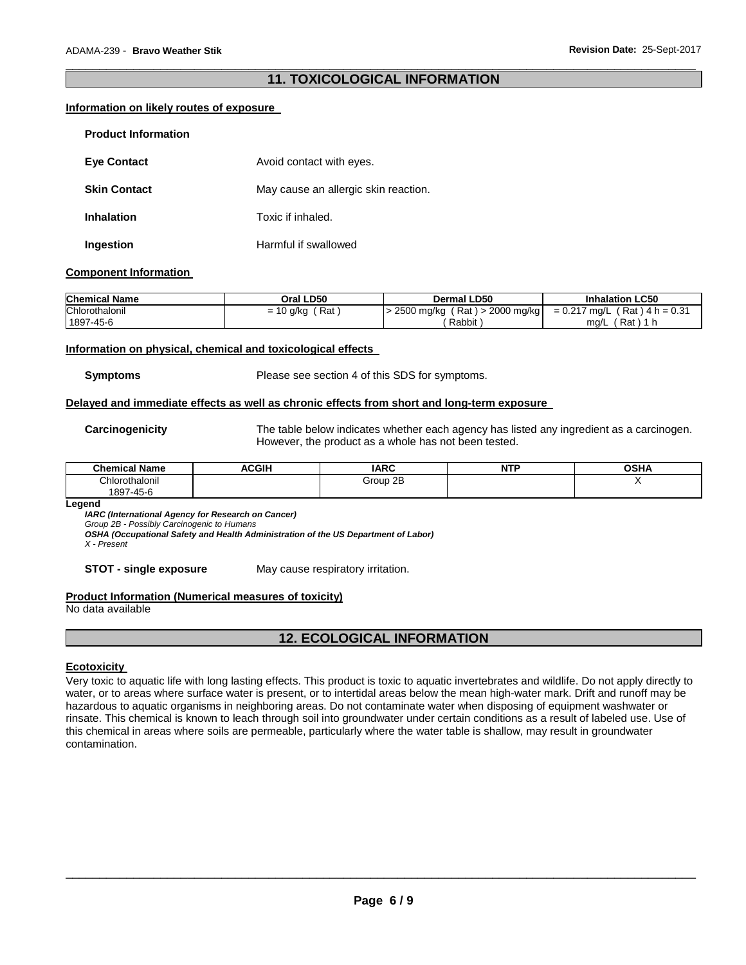# \_\_\_\_\_\_\_\_\_\_\_\_\_\_\_\_\_\_\_\_\_\_\_\_\_\_\_\_\_\_\_\_\_\_\_\_\_\_\_\_\_\_\_\_\_\_\_\_\_\_\_\_\_\_\_\_\_\_\_\_\_\_\_\_\_\_\_\_\_\_\_\_\_\_\_\_\_\_\_\_\_\_\_\_\_\_\_\_\_\_\_\_\_ **11. TOXICOLOGICAL INFORMATION**

## **Information on likely routes of exposure**

| <b>Product Information</b> |                                      |
|----------------------------|--------------------------------------|
| <b>Eve Contact</b>         | Avoid contact with eyes.             |
| <b>Skin Contact</b>        | May cause an allergic skin reaction. |
| <b>Inhalation</b>          | Toxic if inhaled.                    |
| Ingestion                  | Harmful if swallowed                 |

# **Component Information**

| <b>Chemical Name</b> | Oral LD50          | <b>Dermal LD50</b>                     | <b>Inhalation LC50</b>          |
|----------------------|--------------------|----------------------------------------|---------------------------------|
| Chlorothalonil       | Rat<br>$= 10$ g/kg | ( Rat ) > 2000 mg/kg  <br>. 2500 mg/kg | $= 0.217$ mg/L (Rat) 4 h = 0.31 |
| 1897-45-6            |                    | Rabbit                                 | Rat)<br>ma/L                    |

## **Information on physical, chemical and toxicological effects**

**Symptoms** Please see section 4 of this SDS for symptoms.

#### **Delayed and immediate effects as well as chronic effects from short and long-term exposure**

**Carcinogenicity** The table below indicates whether each agency has listed any ingredient as a carcinogen. However, the product as a whole has not been tested.

| --<br>.<br>Chemical<br><b>Name</b> | <b>ACGIH</b> | <b>IARC</b> | .<br>NT<br>. .<br>. | <b>OSHA</b> |
|------------------------------------|--------------|-------------|---------------------|-------------|
| Chlorothalonil                     |              | Group 2B    |                     |             |
| 7-45-6<br>897                      |              |             |                     |             |

#### **Legend**

*IARC (International Agency for Research on Cancer)*

*Group 2B - Possibly Carcinogenic to Humans* 

*OSHA (Occupational Safety and Health Administration of the US Department of Labor)*

*X - Present* 

**STOT - single exposure** May cause respiratory irritation.

# **Product Information (Numerical measures of toxicity)**

No data available

# **12. ECOLOGICAL INFORMATION**

# **Ecotoxicity**

Very toxic to aquatic life with long lasting effects. This product is toxic to aquatic invertebrates and wildlife. Do not apply directly to water, or to areas where surface water is present, or to intertidal areas below the mean high-water mark. Drift and runoff may be hazardous to aquatic organisms in neighboring areas. Do not contaminate water when disposing of equipment washwater or rinsate. This chemical is known to leach through soil into groundwater under certain conditions as a result of labeled use. Use of this chemical in areas where soils are permeable, particularly where the water table is shallow, may result in groundwater contamination.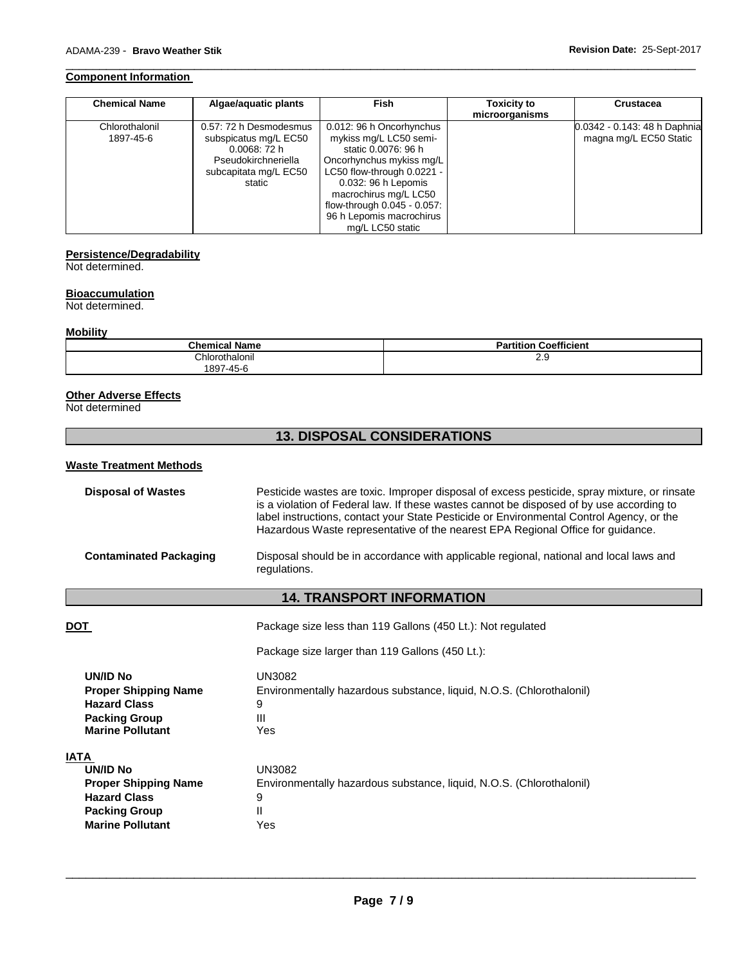#### **Component Information**

| <b>Chemical Name</b>        | Algae/aguatic plants                                                                                                    | <b>Fish</b>                                                                                                                                                                                                                                                        | <b>Toxicity to</b><br>microorganisms | <b>Crustacea</b>                                       |
|-----------------------------|-------------------------------------------------------------------------------------------------------------------------|--------------------------------------------------------------------------------------------------------------------------------------------------------------------------------------------------------------------------------------------------------------------|--------------------------------------|--------------------------------------------------------|
| Chlorothalonil<br>1897-45-6 | 0.57: 72 h Desmodesmus<br>subspicatus mg/L EC50<br>0.0068:72h<br>Pseudokirchneriella<br>subcapitata mg/L EC50<br>static | 0.012: 96 h Oncorhynchus<br>mykiss mg/L LC50 semi-<br>static 0.0076: 96 h<br>Oncorhynchus mykiss mg/L<br>LC50 flow-through 0.0221 -<br>0.032: 96 h Lepomis<br>macrochirus mg/L LC50<br>flow-through 0.045 - 0.057:<br>96 h Lepomis macrochirus<br>mg/L LC50 static |                                      | 0.0342 - 0.143: 48 h Daphnia<br>magna mg/L EC50 Static |

\_\_\_\_\_\_\_\_\_\_\_\_\_\_\_\_\_\_\_\_\_\_\_\_\_\_\_\_\_\_\_\_\_\_\_\_\_\_\_\_\_\_\_\_\_\_\_\_\_\_\_\_\_\_\_\_\_\_\_\_\_\_\_\_\_\_\_\_\_\_\_\_\_\_\_\_\_\_\_\_\_\_\_\_\_\_\_\_\_\_\_\_\_

# **Persistence/Degradability**

Not determined.

# **Bioaccumulation**

Not determined.

# **Mobility**

| <b>Chemical Name</b> | <b>Coefficient</b><br>Partition |
|----------------------|---------------------------------|
| Chlorothalonil       | د.ء                             |
| 1897-45-6            |                                 |

#### **Other Adverse Effects**

Not determined

# **13. DISPOSAL CONSIDERATIONS**

## **Waste Treatment Methods**

| <b>Disposal of Wastes</b>     | Pesticide wastes are toxic. Improper disposal of excess pesticide, spray mixture, or rinsate<br>is a violation of Federal law. If these wastes cannot be disposed of by use according to<br>label instructions, contact your State Pesticide or Environmental Control Agency, or the<br>Hazardous Waste representative of the nearest EPA Regional Office for guidance. |
|-------------------------------|-------------------------------------------------------------------------------------------------------------------------------------------------------------------------------------------------------------------------------------------------------------------------------------------------------------------------------------------------------------------------|
| <b>Contaminated Packaging</b> | Disposal should be in accordance with applicable regional, national and local laws and<br>regulations.                                                                                                                                                                                                                                                                  |

# **14. TRANSPORT INFORMATION**

| DOT                                                                                                                              | Package size less than 119 Gallons (450 Lt.): Not regulated                                                  |
|----------------------------------------------------------------------------------------------------------------------------------|--------------------------------------------------------------------------------------------------------------|
|                                                                                                                                  | Package size larger than 119 Gallons (450 Lt.):                                                              |
| UN/ID No<br><b>Proper Shipping Name</b><br><b>Hazard Class</b><br><b>Packing Group</b><br><b>Marine Pollutant</b>                | UN3082<br>Environmentally hazardous substance, liquid, N.O.S. (Chlorothalonil)<br>9<br>$\mathbf{III}$<br>Yes |
| IATA<br><b>UN/ID No</b><br><b>Proper Shipping Name</b><br><b>Hazard Class</b><br><b>Packing Group</b><br><b>Marine Pollutant</b> | UN3082<br>Environmentally hazardous substance, liquid, N.O.S. (Chlorothalonil)<br>9<br>Ш<br>Yes              |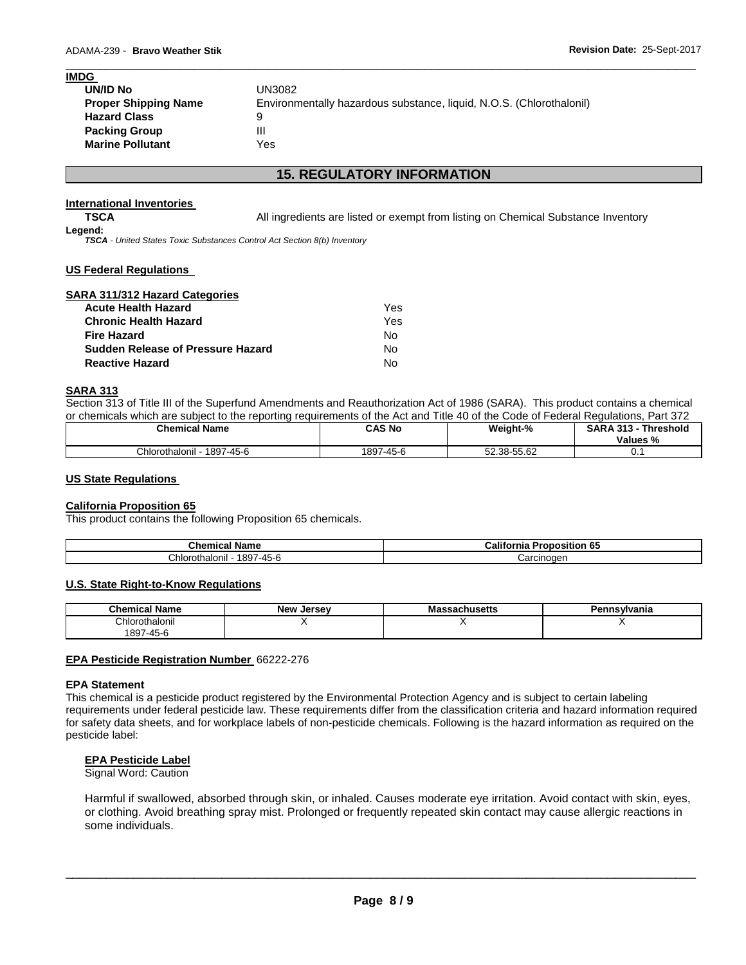# **IMDG UN/ID No** UN3082 **Proper Shipping Name** Environmentally hazardous substance, liquid, N.O.S. (Chlorothalonil) **Hazard Class** 9 **Packing Group 111 Marine Pollutant** Yes

# **15. REGULATORY INFORMATION**

\_\_\_\_\_\_\_\_\_\_\_\_\_\_\_\_\_\_\_\_\_\_\_\_\_\_\_\_\_\_\_\_\_\_\_\_\_\_\_\_\_\_\_\_\_\_\_\_\_\_\_\_\_\_\_\_\_\_\_\_\_\_\_\_\_\_\_\_\_\_\_\_\_\_\_\_\_\_\_\_\_\_\_\_\_\_\_\_\_\_\_\_\_

## **International Inventories**

**TSCA All ingredients are listed or exempt from listing on Chemical Substance Inventory** 

#### **Legend:**

*TSCA - United States Toxic Substances Control Act Section 8(b) Inventory* 

## **US Federal Regulations**

| SARA 311/312 Hazard Categories           |     |
|------------------------------------------|-----|
| <b>Acute Health Hazard</b>               | Yes |
| <b>Chronic Health Hazard</b>             | Yes |
| <b>Fire Hazard</b>                       | No  |
| <b>Sudden Release of Pressure Hazard</b> | No  |
| <b>Reactive Hazard</b>                   | N٥  |

#### **SARA 313**

Section 313 of Title III of the Superfund Amendments and Reauthorization Act of 1986 (SARA). This product contains a chemical or chemicals which are subject to the reporting requirements of the Act and Title 40 of the Code of Federal Regulations, Part 372

| <b>Chemical Name</b>          | CAS No    | Weight-%    | <b>SARA 313</b><br><b>Threshold</b><br>242<br>Values % |
|-------------------------------|-----------|-------------|--------------------------------------------------------|
| Chlorothalonil -<br>1897-45-6 | 1897-45-6 | 52.38-55.62 | v.                                                     |

### **US State Regulations**

## **California Proposition 65**

This product contains the following Proposition 65 chemicals.

| Chemical                          | <b>Califo</b>               |  |
|-----------------------------------|-----------------------------|--|
| Name                              | lornia                      |  |
|                                   |                             |  |
|                                   | roposition 65               |  |
| 1897-45-6<br>≛.<br>Chlorothalonil | Carcinoder<br>. JII luuti ' |  |

## **U.S. State Right-to-Know Regulations**

| <b>Chemical Name</b> | New<br>Jersev | achusetts<br>ма | Pennsvlvania |
|----------------------|---------------|-----------------|--------------|
| Chlorothalonil       |               |                 |              |
| 897<br>$7 - 45 - 6$  |               |                 |              |

## **EPA Pesticide Registration Number** 66222-276

#### **EPA Statement**

This chemical is a pesticide product registered by the Environmental Protection Agency and is subject to certain labeling requirements under federal pesticide law. These requirements differ from the classification criteria and hazard information required for safety data sheets, and for workplace labels of non-pesticide chemicals. Following is the hazard information as required on the pesticide label:

## **EPA Pesticide Label**

#### Signal Word: Caution

Harmful if swallowed, absorbed through skin, or inhaled. Causes moderate eye irritation. Avoid contact with skin, eyes, or clothing. Avoid breathing spray mist. Prolonged or frequently repeated skin contact may cause allergic reactions in some individuals.